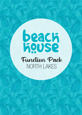# **Baach**<br>Repose Function Pack NORTH LAKES

**facebook.com/BeachHouseNORTHLAKES**

functions.gc@hotelbeachhouse.com.au

facebook.com/BeachHouseGC **NORTHLAKES@beachhousebargrill.com**

 $\mathcal{N}(\mathcal{A})$  factors  $\mathcal{A}(\mathcal{A})$ 

 $\sigma$  -07  $\mu$  and  $\sim$  11  $\mu$  ,  $\sim$  11  $\mu$  ,  $\sim$  12  $\sigma$ 

**www.communications** 

 $+0.87$  3420  $-0.7$  3420  $-0.7$  3420  $-0.7$  3420  $-0.7$ 

 $+0.7$  3420  $\mu$ 7 3420  $-1.7$   $\mu$   $\sim$   $+0.7$   $\mu$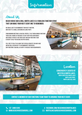Information

## About Us

#### Beach House Bar & Grill NORTH LAKES is a fabulous function venue that can make your next event one to remember.

WE WOULD LOVE TO ACCOMMODATE YOUR NEXT FUNCTION. WHETHER IT'S A SMALL GATHERING OR LARGE PARTY.

From morning meetings & cocktail parties, to set menu dinner functions, there are a range of packages to suit every need and budget. Our venue is perfect for your event and our functions team is ready to help you decide or offer advice.

Feel free to talk to us about any special requests you may have and we will do our best to accommodate your needs. OUR FUNCTIONS TEAM WILL BE HAPPY TO DISCUSS YOUR REQUIREMENTS.



#### **Conveniently located at Westfield North Lakes. Shop R3 Westfield North Lakes**

**North Lakes Drive, North Lakes Qld, 4509**

**Contact a member of our functions team today to arrange your next event.** 



**facebook.com/BeachHouseNoRTHLAKES**  $\textrm{USEBARGRILL}$ .com.  $\textrm{3}$  northlakes@beachhousebargrill.com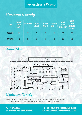## Function Areas

## Maximum Capacity

| <b>AREA</b>     | <b>PRIVATE</b><br><b>DINING</b><br><b>ROOM 1</b> | <b>INSIDE AREA</b> | <b>OUTSIDE</b><br><b>AREA 1</b> | <b>OUTSIDE</b><br><b>AREA 2</b> | <b>OUTSIDE</b><br>AREA $1 + 2$ | <b>WHOLE</b><br><b>VENUE</b><br><b>INSIDE ONLY</b> | <b>WHOLE</b><br><b>VENUE</b><br><b>INCLUDING</b><br><b>OUTSIDE</b> |
|-----------------|--------------------------------------------------|--------------------|---------------------------------|---------------------------------|--------------------------------|----------------------------------------------------|--------------------------------------------------------------------|
| <b>COCKTAIL</b> | N/A                                              | 30                 | 25                              | 25                              | 50                             | 120                                                | 400                                                                |
| <b>SET MENU</b> | 18                                               | 20                 | 25                              | 25                              | 50                             | 80                                                 | 200                                                                |

Venue Map



## Minimum Spends

Minimum spends apply in some circumstances but may be flexible depending on requirements and day function is held. Please ask our function team for more information on how we can cater for your special occasion.

**facebook.com/BeachHouseNoRTHLAKES**  $\textrm{USEBARGRILL}$ .com.  $\textrm{3}$  northlakes@beachhousebargrill.com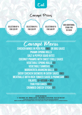

## Canapé Prices

**Selection of 4 for \$20 pp**

**Selection of 6 for \$30 pp**

**Selection of 8 for \$40 pp**

**Add additional items for \$5 each**

 $\sim$  17  $\sqrt{2}$  3420 0714  $\sim$  2420 0714  $\sim$  251

,,,,,,,,,,,,,,,,,,,,,,,,,,,,,,,,,,,

anapé Menu

**Chicken Wings in Peri Peri (MG) or bbq sauce Prawn Spring Rolls Salt & Pepper Squid Bites Coconut Prawns with Sweet Chilli Sauce Vegetable Spring Rolls (v) Vegetable Samosas (v) Margherita Arancini Balls (V) Satay Chicken Skewers in Satay Sauce (MG) Meatballs with Rich Tomato Sauce & Parmesan (MG) Falafel (V+Vegan + mg) Thai Fish Cakes (MG) Crumbed Cheesy Sticks (v)**

**dietary information V - Vegetarian | MG - minimal gluten | MGO minimal gluten option - plese ask our staff At beach house we do our best to cater for people with food allergies and dietary requirements. However, we cannot guarantee an environment completely free from allergens, so traces of some ingredients may still be present in our meals.**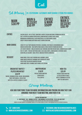

## Set Menus |**25-120 persons Alternate Drop (choose 2 items per course)**









#### **Entrée** Caesar salad - Cos Lettuce, Croutons, Bacon, Ceasar Dressing & Parmesan Cheese (MGo) Salt & Pepper Calamari served with Lemon Wedges & Garlic Aioli Sauce (MG) Margherita Arancini Balls with Mozzerella & a Rich Napoli Sauce (V) Crispy Chicken Wings with BBQ Sauce & Ranch Dressing (MG)

**MAIN COURSE** 2006 EYE FILLET WITH MASHED POTATOES, SEASONAL VEGETABLES & MUSHROOM SAUCE (MGO) Gnocchi Napolitana - Rich Napolitana Sauce & Fresh Grated Parmesan Cheese (V) Life Saver Chicken - Grilled Chicken, Half Avocado, Mustard cream Sauce, Garden Salad & Chips (MGo) Fish 'N' Chips - Freshly Battered Hake, Coleslaw, Chips, Lemon Wedge & Tartare Sauce Char Grilled Salmon - Basil Pesto, Smashed Potato & Broccoli (MG)

**DESSERT** HOME MADE STICKY DATE PUDDING WITH CARAMEL SAUCE (MG+V) HOME BAKED CHOCOLATE BROWNIE WITH CHOCOLATE SAUCE (V) Fresh Fruit Salad with Whipped Cream (MG+V) Home Made Apple Crumble with Vanilla Ice Cream (v)

#### **BREAKFAST BUFFET/ plated breakfast \$20 pp**

Bacon, Scrambled Eggs, Beans, Mushrooms, Toast with Museli, Fresh Fruit with Tea & Coffee & Choice of Juices

**Muffin Break \$18 pp** Freshly Baked Muffins served with Tea & Coffee

#### **High Tea \$25 pp** Freshly Baked Muffins & a Selection of Cakes WITH A SANDWICH PLATTER WITH TEA AND COFFEE

# Group Meetings

#### **Ask our functions team for more information and pricing on how they can arrange your next team meeting, whether it be**

**Breakfast | Morning Tea | Lunch | Afternoon Tea | Dinner | Drinks**

**dietary information**

**V - Vegetarian | MG - minimal gluten | MGO minimal gluten option - plese ask our staff At beach house we do our best to cater for people with food allergies and dietary requirements.**

**However, we cannot guarantee an environment completely free from allergens, so traces of some ingredients may still be present in our meals.**

**+07 3480 5292** +07 3420 0711 www.beachhousebargrill.com **www.beachhousebargrill.com** +07 3420 0711 www.beachhousebargrill.com

**facebook.com/BeachHouseNoRTHLAKES**  $\textrm{USEBARGRILL}$ .com.  $\textrm{3}$  northlakes@beachhousebargrill.com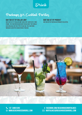Drink

# Packages for Cocktail Parties

#### **Bar Tab Set by Dollar Limit**

Bar Tab is set by Dollar Limit and is not limited by a time frame. The function holder may decide what they would like available on this type of bar tab. The functions manager can offer suggestions if needed.

**Bar Tab Set by Product** Bar Tab set by particular products selected.



**facebook.com/BeachHouseNoRTHLAKES**  $\textrm{USEBARGRILL}$ .com.  $\textrm{3}$  northlakes@beachhousebargrill.com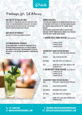Drink

## Packages for Set Menus

#### **Bar Tab Set by Dollar Limit**

Bar Tab is set by Dollar Limit and is not limited by a time frame. The function holder may decide what they would like available on this type of bar tab. The functions manager can offer suggestions if needed.

#### **Bar Tab Set by Product**

Bar Tab set by particular products selected.

#### **Custom Beverage Packages**

We are always happy to discuss any particular type of beverage package you would like, so if you feel none of our packages exactly meet your requirements, please do not hesitate to ask the Function Manager if variations are possible.

#### **Drinks Packages**

Total cost is determined by the number of people and has a set time limit. Two options exist for this beverage package: the "Surfing" drinks package and the "Sailing" drinks package.

These packages range in price from \$33 per head for a two-hour "Surfing" drink package through to \$61 per head for a four-hour "Sailing" drink package.

#### **1. SURFING PARTY DRINK PACKAGE (WITH SET MENU ONLY)**

2 HOURS AT \$33 PP 3 HOURS AT \$44 PP 4 HOURS AT \$54 PP

#### **Surfing Party Drink Package includes:**

| <b>WINF</b>        | HOUSE WHITE, HOUSE RED, HOUSE SPARKLING                                                                                      |
|--------------------|------------------------------------------------------------------------------------------------------------------------------|
| <b>TAP BEER:</b>   | <b>LOCAL TAP BEERS AND CIDER</b>                                                                                             |
| <b>SOFT DRINK:</b> | COKE, ZERO, SPRITE, LIFT, GINGER ALE                                                                                         |
| <b>JUICE:</b>      | ORANGE JUICE, APPLE JUICE, PINEAPPLE JUICE<br><b>CRANBERRY JUICE</b>                                                         |
|                    | 2. SAILING PARTY DRINK PACKAGE (WITH SET MENU ONLY)<br>2 HOURS AT \$41 PP<br>3 HOURS AT \$51 PP<br><b>4 HOURS AT \$61 PP</b> |
|                    | <b>SAILING PARTY DRINK PACKAGE INCLUDES:</b>                                                                                 |

| WINE:            | <b>HOUSE WHITE, HOUSE RED, HOUSE SPARKLING</b> |
|------------------|------------------------------------------------|
| <b>TAP BEER:</b> | <b>LOCAL TAP BEERS AND CIDER</b>               |

| and the property of the control of the control of |  |
|---------------------------------------------------|--|

Basic Spirits: Selection of Basic Spirits

#### Soft Drink: Coke, Zero, Sprite, Lift, Ginger Ale

Juice: Orange Juice, Apple Juice, Pineapple Juice, Cranberry Juice

**+07 3480 5292** +07 3420 0711 www.beachhousebargrill.com **www.beachhousebargrill.com** +07 3420 0711 www.beachhousebargrill.com

**facebook.com/BeachHouseNoRTHLAKES**  $\textrm{USEBARGRILL}$ .com.  $\textrm{3}$  northlakes@beachhousebargrill.com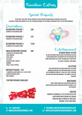## Function Extras

Special Requests

Please note that most special requests can be catered for including Vegetarian, Gluten-Free, Allergen Listings and Cooking Styles, not to mention changes in the room by agreement with the Functions Manager.

| Decorations<br><b>DECORATIONS PACKAGE 1</b><br><b>3 BUNCHES OF HELIUM BALLOONS</b>                                                                                                            | <b>\$40</b> |
|-----------------------------------------------------------------------------------------------------------------------------------------------------------------------------------------------|-------------|
| <b>DECORATIONS PACKAGE 2</b><br><b>6 BUNCHES OF HELIUM BALLOONS</b>                                                                                                                           | \$75        |
| <b>DECORATIONS PACKAGE 3</b><br><b>10 BUNCHES OF HELIUM BALLOONS</b>                                                                                                                          | \$100       |
| <b>XMAS DECORATIONS PACKAGE</b><br><b>-3 BUNCHES OF HELIUM BALLOONS</b><br>-TARI F RIINNFRS<br>-FAIRY LIGHTS<br>-TEA LIGHTS<br>-CHRISMAS TABLE-TOPPERS<br>-RONRONS<br>-TINSEL & TABLE-TOPPERS | S90         |

#### **Birthday Package \$70**

-1 Number Balloons Bunch (e.g 1 & 8 for 18th) 4 bunch Helium Balloons table runners

#### **\*Custom Packages Available**





## Entertainment

**In House Music System**

We have our own in house Audio System which has over 10,000 songs Run by the Crowd DJ App. App available on iTunes and Google Play store to download to check into the venue to request your songs.

#### **AV SYSTEM**

Each function area at Beach House has television monitors available for function holders to utilise with appropriate content. Please feel free to discuss this with our functions manager. This comes at \$50 per function.

#### **WRISTBANDS**

WRIST BANDS REQUESTED FOR FUNCTIONS (BAR TAB identification) can be purchased from the venue at \$10 per function.

#### **CAKEAGE**

Cakeage is charged at \$10 Flat Rate or \$2 per head served with cream & ice cream. Price includes storage of your cake, napkins, plates and forks.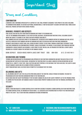Important Stuff

Terms and Conditions

#### **Confirmation**

A booking is only confirmed upon receipt of a deposit of \$100. Final payment is required 7 days prior to the event, including the minimum spend amount. In certain exceptional circumstances, it may be necessary to assign a different area/ room, Beach House will provide sufficient notice where possible.

#### **Bookings, Payments and Deposits**

Final details are due no later than fourteen working days prior to the booking date.

100% of the minimum spend amount is to be spent on food, beverage, decoration and function extras, excluding security. Menus are subject to change at any time in line with produce availability.

Final numbers are due seven days prior to the booking date. Decreased event numbers within five working days will not be accepted. Increased event numbers within five working days must be discussed with our Functions Coordinator. Payments can be made by credit card, cash, cheque or direct deposit. Please email through a remittance statement to our Functions Coordinator for confirmation of payment. Should you require a tax invoice, please request one from our Function Coordinator. Cheque payments are required 14 days prior to event. One bill will be provided per function. A credit card is required as a security bond in the instance of any damages caused.

**Bank Deposit: BEACH HOUSE NORTH LAKES UNIT TRUST BSB: 084-004 A/C: 23-443-9411**

#### **Decorations and Theming**

Theming and decorating must be prearranged and approved by our Functions Coordinator and must include details of any decorations not supplied by Beach House. Decorating the function space is allowed, however certain decorations are not permitted (i.e. confetti, sticky tape, table scatters and party poppers). In the instance that these are used, the client is liable for any damages caused and/or cleaning expenses associated.

Apart from birthday cakes, no other food is permitted to be brought into the venue.

#### **Belongings and Gifts**

All belongings and gifts are to be collected upon conclusion of the function. Should storage be required, this must be prearranged with our Function Coordinator prior to the function date.

Beach House does not accept responsibility for the injury, damage or loss of any client's property left in the premises prior to, during or after an event. Any damages caused to Beach House property during an event are the financial responsibility of the client.

#### **Security**

Where a function requests a crowd controller or a function is deemed to require a crowd controller by our functions team, the crowd controller will be organised by Beach House. All associated costs incurred must be paid by the function holder prior to the event. Talk to our Functions Coordinator for more information.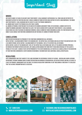# Important Stuff

#### **Minors**

Any guests under 18 years of age must have their parent/ legal guardian's supervision at all times and are restricted to movements within the function area only. Should a minor be found in other areas within the hotel unaccompanied, the minor and their parents/ legal guardians may be asked to leave the premise immediately.

All minors must vacate the premises no later than 10:00pm.

All minors attending a function must be outlined on the Minors Agreement form. In the instance, a minor is not on the submitted Minors Agreement form from the client, they may be denied entry along with their parents/ legal guardian. Beach House has zero-tolerance on underage drinking. Should a minor be found consuming alcohol the function may be shut down. Please consult our Functions Coordinator on any instance of a minor attending your event.

#### **Cancellations**

WRITTEN NOTIFICATION MUST BE PROVIDED TO THE FUNCTIONS COORDINATOR IN ALL INSTANCES.

Notice outside 1 calendar month prior to the booking date, the deposit will be retained and held in trust for another date (for a six month period). Notice within 1 calendar month of the booking, 100% of the deposit will be retained. Notice within 14 days of the booking date 100% of the deposit will be retained and 100% of the agreed catering spend will be invoiced for payment within seven days. Any cancellation charged for third party items hired on behalf of the client is payable by the client. Change of date or postponement of the event booking will be treated as a cancellation at the discretion of your Functions Coordinator. Events booking in November/ December may have additional cancellation policies.

#### **Regulations**

Hotel Management and staff adhere to the laws governing the Responsible Service of Alcohol - Queensland Liquor Licensing Department. Patrons showing signs of undue intoxication or disorderly behaviour will be refused service and will be asked to leave the premises. Management has the right to exercise regulatory conditions at any time during a function if it is believed that the alcohol consumption rate is excessive.

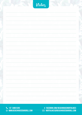|  | Notez |  |
|--|-------|--|
|  |       |  |
|  |       |  |
|  |       |  |
|  |       |  |
|  |       |  |
|  |       |  |
|  |       |  |
|  |       |  |
|  |       |  |
|  |       |  |
|  |       |  |
|  |       |  |

**+07 3480 5292** +07 3420 0711 www.beachhousebargrill.com **www.beachhousebargrill.com** +07 3420 0711 www.beachhousebargrill.com

**facebook.com/BeachHouseNORTHLAKES** facebook.com/BeachHouseGC **NORTHLAKES@beachhousebargrill.com** functions.gc@hotelbeachhouse.com.au facebook.com/Beachhouse.noriHeakes